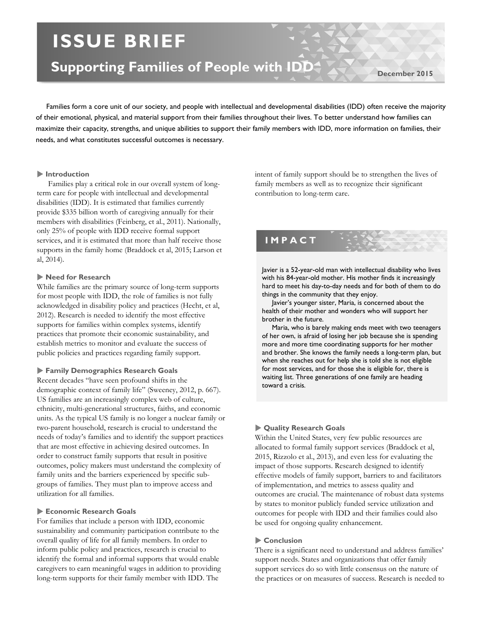# **ISSUE BRIEF**

## **Supporting Families of People with IDD**

**December 2015**

 Families form a core unit of our society, and people with intellectual and developmental disabilities (IDD) often receive the majority of their emotional, physical, and material support from their families throughout their lives. To better understand how families can maximize their capacity, strengths, and unique abilities to support their family members with IDD, more information on families, their needs, and what constitutes successful outcomes is necessary.

## **Introduction**

Families play a critical role in our overall system of longterm care for people with intellectual and developmental disabilities (IDD). It is estimated that families currently provide \$335 billion worth of caregiving annually for their members with disabilities (Feinberg, et al., 2011). Nationally, only 25% of people with IDD receive formal support services, and it is estimated that more than half receive those supports in the family home (Braddock et al, 2015; Larson et al, 2014).

## **Need for Research**

While families are the primary source of long-term supports for most people with IDD, the role of families is not fully acknowledged in disability policy and practices (Hecht, et al, 2012). Research is needed to identify the most effective supports for families within complex systems, identify practices that promote their economic sustainability, and establish metrics to monitor and evaluate the success of public policies and practices regarding family support.

## **Family Demographics Research Goals**

Recent decades "have seen profound shifts in the demographic context of family life" (Sweeney, 2012, p. 667). US families are an increasingly complex web of culture, ethnicity, multi-generational structures, faiths, and economic units. As the typical US family is no longer a nuclear family or two-parent household, research is crucial to understand the needs of today's families and to identify the support practices that are most effective in achieving desired outcomes. In order to construct family supports that result in positive outcomes, policy makers must understand the complexity of family units and the barriers experienced by specific subgroups of families. They must plan to improve access and utilization for all families.

## **Economic Research Goals**

For families that include a person with IDD, economic sustainability and community participation contribute to the overall quality of life for all family members. In order to inform public policy and practices, research is crucial to identify the formal and informal supports that would enable caregivers to earn meaningful wages in addition to providing long-term supports for their family member with IDD. The

intent of family support should be to strengthen the lives of family members as well as to recognize their significant contribution to long-term care.

## **IMPACT**

Javier is a 52-year-old man with intellectual disability who lives with his 84-year-old mother. His mother finds it increasingly hard to meet his day-to-day needs and for both of them to do things in the community that they enjoy.

 Javier's younger sister, Maria, is concerned about the health of their mother and wonders who will support her brother in the future.

 Maria, who is barely making ends meet with two teenagers of her own, is afraid of losing her job because she is spending more and more time coordinating supports for her mother and brother. She knows the family needs a long-term plan, but when she reaches out for help she is told she is not eligible for most services, and for those she is eligible for, there is waiting list. Three generations of one family are heading toward a crisis*.*

## **Quality Research Goals**

Within the United States, very few public resources are allocated to formal family support services (Braddock et al, 2015, Rizzolo et al., 2013), and even less for evaluating the impact of those supports. Research designed to identify effective models of family support, barriers to and facilitators of implementation, and metrics to assess quality and outcomes are crucial. The maintenance of robust data systems by states to monitor publicly funded service utilization and outcomes for people with IDD and their families could also be used for ongoing quality enhancement.

## **Conclusion**

There is a significant need to understand and address families' support needs. States and organizations that offer family support services do so with little consensus on the nature of the practices or on measures of success. Research is needed to